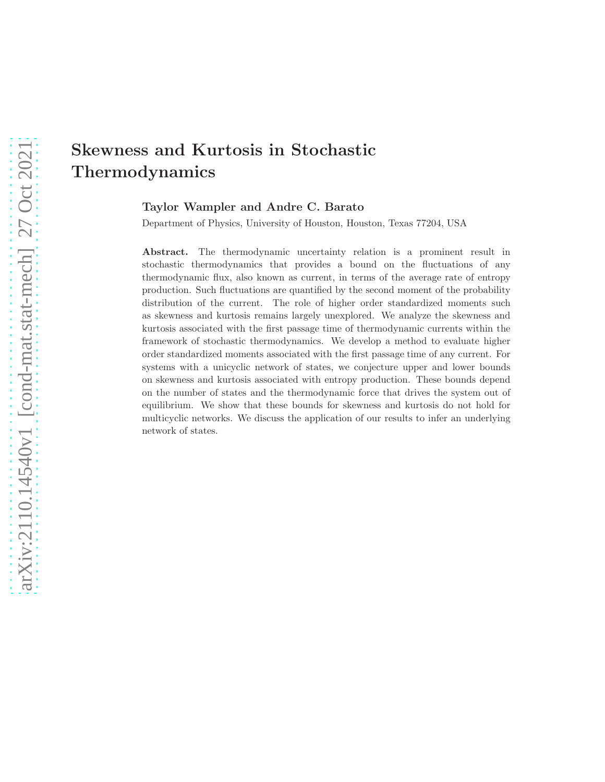# arXiv:2110.14540v1 [cond-mat.stat-mech] 27 Oct 2021 [arXiv:2110.14540v1 \[cond-mat.stat-mech\] 27 Oct 2021](http://arxiv.org/abs/2110.14540v1)

# Skewness and Kurtosis in Stochastic Thermodynamics

Taylor Wampler and Andre C. Barato

Department of Physics, University of Houston, Houston, Texas 77204, USA

Abstract. The thermodynamic uncertainty relation is a prominent result in stochastic thermodynamics that provides a bound on the fluctuations of any thermodynamic flux, also known as current, in terms of the average rate of entropy production. Such fluctuations are quantified by the second moment of the probability distribution of the current. The role of higher order standardized moments such as skewness and kurtosis remains largely unexplored. We analyze the skewness and kurtosis associated with the first passage time of thermodynamic currents within the framework of stochastic thermodynamics. We develop a method to evaluate higher order standardized moments associated with the first passage time of any current. For systems with a unicyclic network of states, we conjecture upper and lower bounds on skewness and kurtosis associated with entropy production. These bounds depend on the number of states and the thermodynamic force that drives the system out of equilibrium. We show that these bounds for skewness and kurtosis do not hold for multicyclic networks. We discuss the application of our results to infer an underlying network of states.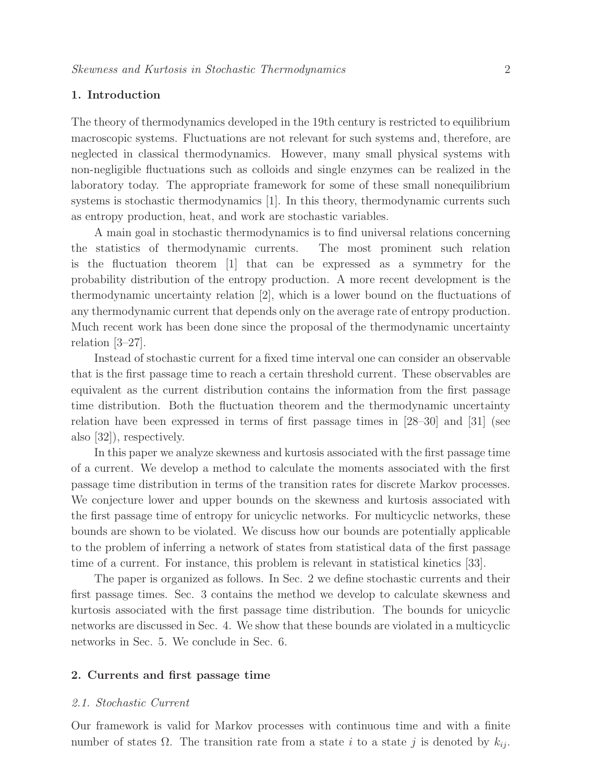# 1. Introduction

The theory of thermodynamics developed in the 19th century is restricted to equilibrium macroscopic systems. Fluctuations are not relevant for such systems and, therefore, are neglected in classical thermodynamics. However, many small physical systems with non-negligible fluctuations such as colloids and single enzymes can be realized in the laboratory today. The appropriate framework for some of these small nonequilibrium systems is stochastic thermodynamics [1]. In this theory, thermodynamic currents such as entropy production, heat, and work are stochastic variables.

A main goal in stochastic thermodynamics is to find universal relations concerning the statistics of thermodynamic currents. The most prominent such relation is the fluctuation theorem [1] that can be expressed as a symmetry for the probability distribution of the entropy production. A more recent development is the thermodynamic uncertainty relation [2], which is a lower bound on the fluctuations of any thermodynamic current that depends only on the average rate of entropy production. Much recent work has been done since the proposal of the thermodynamic uncertainty relation [3–27].

Instead of stochastic current for a fixed time interval one can consider an observable that is the first passage time to reach a certain threshold current. These observables are equivalent as the current distribution contains the information from the first passage time distribution. Both the fluctuation theorem and the thermodynamic uncertainty relation have been expressed in terms of first passage times in [28–30] and [31] (see also [32]), respectively.

In this paper we analyze skewness and kurtosis associated with the first passage time of a current. We develop a method to calculate the moments associated with the first passage time distribution in terms of the transition rates for discrete Markov processes. We conjecture lower and upper bounds on the skewness and kurtosis associated with the first passage time of entropy for unicyclic networks. For multicyclic networks, these bounds are shown to be violated. We discuss how our bounds are potentially applicable to the problem of inferring a network of states from statistical data of the first passage time of a current. For instance, this problem is relevant in statistical kinetics [33].

The paper is organized as follows. In Sec. 2 we define stochastic currents and their first passage times. Sec. 3 contains the method we develop to calculate skewness and kurtosis associated with the first passage time distribution. The bounds for unicyclic networks are discussed in Sec. 4. We show that these bounds are violated in a multicyclic networks in Sec. 5. We conclude in Sec. 6.

# 2. Currents and first passage time

### 2.1. Stochastic Current

Our framework is valid for Markov processes with continuous time and with a finite number of states  $\Omega$ . The transition rate from a state i to a state j is denoted by  $k_{ij}$ .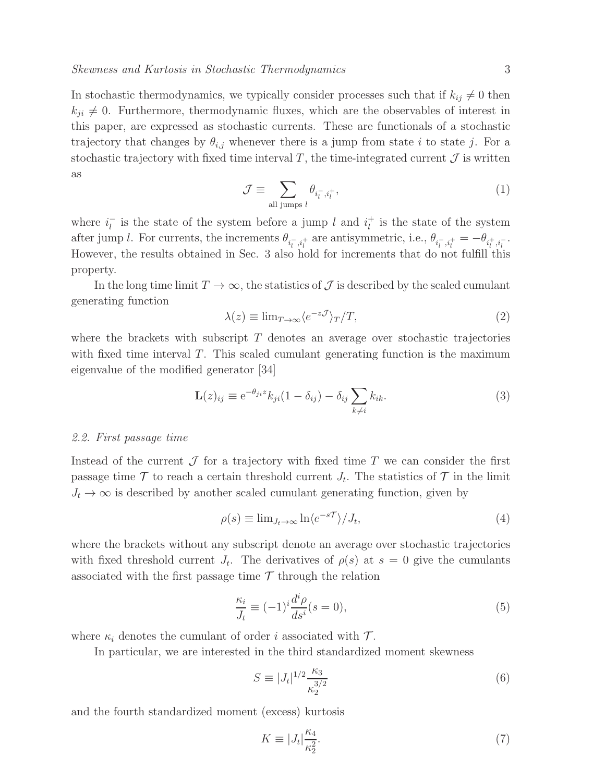In stochastic thermodynamics, we typically consider processes such that if  $k_{ij} \neq 0$  then  $k_{ji} \neq 0$ . Furthermore, thermodynamic fluxes, which are the observables of interest in this paper, are expressed as stochastic currents. These are functionals of a stochastic trajectory that changes by  $\theta_{i,j}$  whenever there is a jump from state i to state j. For a stochastic trajectory with fixed time interval  $T$ , the time-integrated current  $\mathcal J$  is written as

$$
\mathcal{J} \equiv \sum_{\text{all jumps } l} \theta_{i_l^-, i_l^+},\tag{1}
$$

where  $i_l^ \overline{l}_l$  is the state of the system before a jump l and  $i_l^+$  $\frac{1}{l}$  is the state of the system after jump *l*. For currents, the increments  $\theta_{i_l^-, i_l^+}$  are antisymmetric, i.e.,  $\theta_{i_l^-, i_l^+} = -\theta_{i_l^+, i_l^-}$ . However, the results obtained in Sec. 3 also hold for increments that do not fulfill this property.

In the long time limit  $T \to \infty$ , the statistics of  $\mathcal J$  is described by the scaled cumulant generating function

$$
\lambda(z) \equiv \lim_{T \to \infty} \langle e^{-z\mathcal{J}} \rangle_T/T,\tag{2}
$$

where the brackets with subscript  $T$  denotes an average over stochastic trajectories with fixed time interval  $T$ . This scaled cumulant generating function is the maximum eigenvalue of the modified generator [34]

$$
\mathbf{L}(z)_{ij} \equiv e^{-\theta_{ji}z} k_{ji} (1 - \delta_{ij}) - \delta_{ij} \sum_{k \neq i} k_{ik}.
$$
 (3)

### 2.2. First passage time

Instead of the current  $\mathcal J$  for a trajectory with fixed time T we can consider the first passage time  $\mathcal T$  to reach a certain threshold current  $J_t$ . The statistics of  $\mathcal T$  in the limit  $J_t \to \infty$  is described by another scaled cumulant generating function, given by

$$
\rho(s) \equiv \lim_{J_t \to \infty} \ln \langle e^{-s\mathcal{T}} \rangle / J_t,\tag{4}
$$

where the brackets without any subscript denote an average over stochastic trajectories with fixed threshold current  $J_t$ . The derivatives of  $\rho(s)$  at  $s=0$  give the cumulants associated with the first passage time  $\mathcal T$  through the relation

$$
\frac{\kappa_i}{J_t} \equiv (-1)^i \frac{d^i \rho}{ds^i} (s = 0),\tag{5}
$$

where  $\kappa_i$  denotes the cumulant of order *i* associated with  $\mathcal{T}$ .

In particular, we are interested in the third standardized moment skewness

$$
S \equiv |J_t|^{1/2} \frac{\kappa_3}{\kappa_2^{3/2}} \tag{6}
$$

and the fourth standardized moment (excess) kurtosis

$$
K \equiv |J_t| \frac{\kappa_4}{\kappa_2^2}.\tag{7}
$$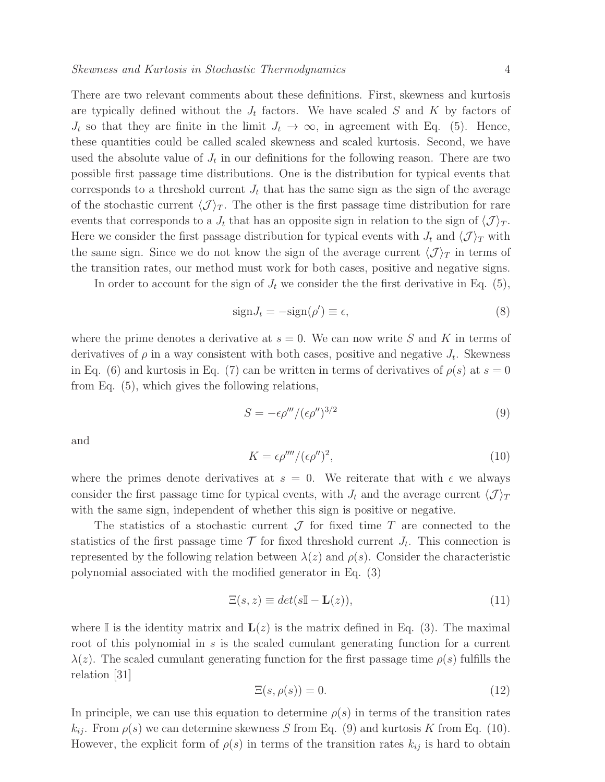There are two relevant comments about these definitions. First, skewness and kurtosis are typically defined without the  $J_t$  factors. We have scaled S and K by factors of  $J_t$  so that they are finite in the limit  $J_t \to \infty$ , in agreement with Eq. (5). Hence, these quantities could be called scaled skewness and scaled kurtosis. Second, we have used the absolute value of  $J_t$  in our definitions for the following reason. There are two possible first passage time distributions. One is the distribution for typical events that corresponds to a threshold current  $J_t$  that has the same sign as the sign of the average of the stochastic current  $\langle \mathcal{J} \rangle_T$ . The other is the first passage time distribution for rare events that corresponds to a  $J_t$  that has an opposite sign in relation to the sign of  $\langle \mathcal{J} \rangle_T$ . Here we consider the first passage distribution for typical events with  $J_t$  and  $\langle \mathcal{J} \rangle_T$  with the same sign. Since we do not know the sign of the average current  $\langle \mathcal{J} \rangle_T$  in terms of the transition rates, our method must work for both cases, positive and negative signs.

In order to account for the sign of  $J_t$  we consider the the first derivative in Eq. (5),

$$
sign J_t = -sign(\rho') \equiv \epsilon,\tag{8}
$$

where the prime denotes a derivative at  $s = 0$ . We can now write S and K in terms of derivatives of  $\rho$  in a way consistent with both cases, positive and negative  $J_t$ . Skewness in Eq. (6) and kurtosis in Eq. (7) can be written in terms of derivatives of  $\rho(s)$  at  $s = 0$ from Eq. (5), which gives the following relations,

$$
S = -\epsilon \rho''' / (\epsilon \rho'')^{3/2} \tag{9}
$$

and

$$
K = \epsilon \rho^{\prime \prime \prime \prime} / (\epsilon \rho^{\prime \prime})^2,\tag{10}
$$

where the primes denote derivatives at  $s = 0$ . We reiterate that with  $\epsilon$  we always consider the first passage time for typical events, with  $J_t$  and the average current  $\langle \mathcal{J} \rangle_T$ with the same sign, independent of whether this sign is positive or negative.

The statistics of a stochastic current  $\mathcal J$  for fixed time  $T$  are connected to the statistics of the first passage time  $\mathcal T$  for fixed threshold current  $J_t$ . This connection is represented by the following relation between  $\lambda(z)$  and  $\rho(s)$ . Consider the characteristic polynomial associated with the modified generator in Eq. (3)

$$
\Xi(s, z) \equiv det(s\mathbb{I} - \mathbf{L}(z)),\tag{11}
$$

where I is the identity matrix and  $\mathbf{L}(z)$  is the matrix defined in Eq. (3). The maximal root of this polynomial in s is the scaled cumulant generating function for a current  $\lambda(z)$ . The scaled cumulant generating function for the first passage time  $\rho(s)$  fulfills the relation [31]

$$
\Xi(s,\rho(s)) = 0.\tag{12}
$$

In principle, we can use this equation to determine  $\rho(s)$  in terms of the transition rates  $k_{ij}$ . From  $\rho(s)$  we can determine skewness S from Eq. (9) and kurtosis K from Eq. (10). However, the explicit form of  $\rho(s)$  in terms of the transition rates  $k_{ij}$  is hard to obtain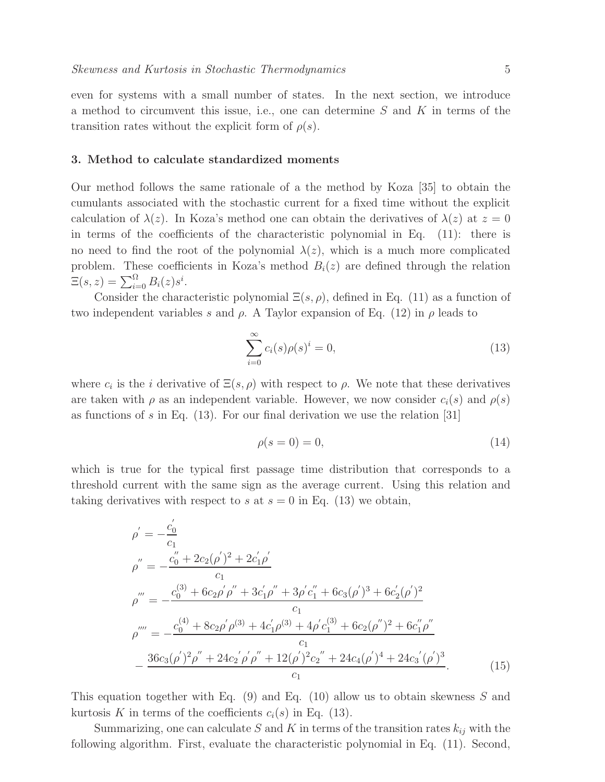### 3. Method to calculate standardized moments

transition rates without the explicit form of  $\rho(s)$ .

Our method follows the same rationale of a the method by Koza [35] to obtain the cumulants associated with the stochastic current for a fixed time without the explicit calculation of  $\lambda(z)$ . In Koza's method one can obtain the derivatives of  $\lambda(z)$  at  $z=0$ in terms of the coefficients of the characteristic polynomial in Eq. (11): there is no need to find the root of the polynomial  $\lambda(z)$ , which is a much more complicated problem. These coefficients in Koza's method  $B_i(z)$  are defined through the relation  $\Xi(s,z) = \sum_{i=0}^{\Omega} B_i(z) s^i.$ 

Consider the characteristic polynomial  $\Xi(s,\rho)$ , defined in Eq. (11) as a function of two independent variables s and  $\rho$ . A Taylor expansion of Eq. (12) in  $\rho$  leads to

$$
\sum_{i=0}^{\infty} c_i(s)\rho(s)^i = 0,
$$
\n(13)

where  $c_i$  is the *i* derivative of  $\Xi(s,\rho)$  with respect to  $\rho$ . We note that these derivatives are taken with  $\rho$  as an independent variable. However, we now consider  $c_i(s)$  and  $\rho(s)$ as functions of s in Eq.  $(13)$ . For our final derivation we use the relation [31]

$$
\rho(s=0) = 0,\tag{14}
$$

which is true for the typical first passage time distribution that corresponds to a threshold current with the same sign as the average current. Using this relation and taking derivatives with respect to s at  $s = 0$  in Eq. (13) we obtain,

$$
\rho' = -\frac{c'_0}{c_1}
$$
\n
$$
\rho'' = -\frac{c''_0 + 2c_2(\rho')^2 + 2c'_1\rho'}{c_1}
$$
\n
$$
\rho''' = -\frac{c_0^{(3)} + 6c_2\rho'\rho'' + 3c'_1\rho'' + 3\rho'c''_1 + 6c_3(\rho')^3 + 6c'_2(\rho')^2}{c_1}
$$
\n
$$
\rho'''' = -\frac{c_0^{(4)} + 8c_2\rho'\rho^{(3)} + 4c'_1\rho^{(3)} + 4\rho'c_1^{(3)} + 6c_2(\rho'')^2 + 6c''_1\rho''}{c_1}
$$
\n
$$
-\frac{36c_3(\rho')^2\rho'' + 24c_2'\rho'\rho'' + 12(\rho')^2c_2'' + 24c_4(\rho')^4 + 24c_3'(\rho')^3}{c_1}.\tag{15}
$$

This equation together with Eq. (9) and Eq. (10) allow us to obtain skewness S and kurtosis K in terms of the coefficients  $c_i(s)$  in Eq. (13).

Summarizing, one can calculate S and K in terms of the transition rates  $k_{ij}$  with the following algorithm. First, evaluate the characteristic polynomial in Eq. (11). Second,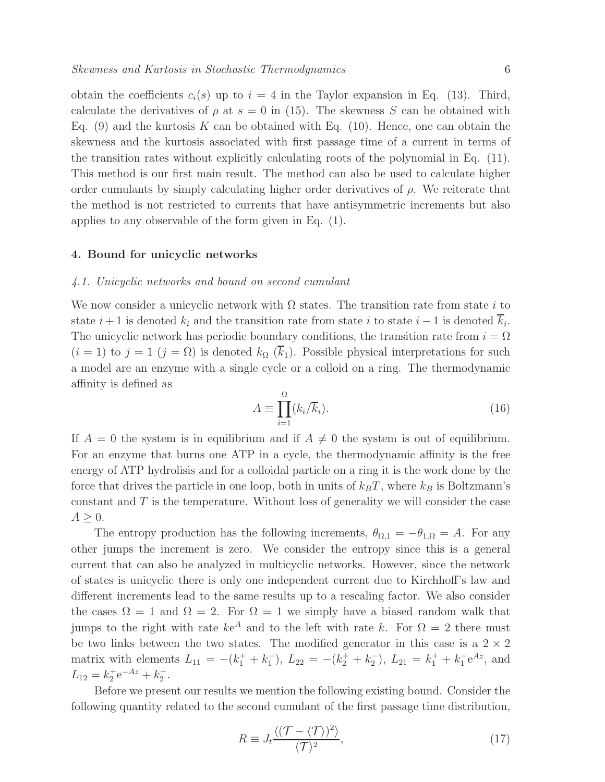obtain the coefficients  $c_i(s)$  up to  $i = 4$  in the Taylor expansion in Eq. (13). Third, calculate the derivatives of  $\rho$  at  $s = 0$  in (15). The skewness S can be obtained with Eq. (9) and the kurtosis K can be obtained with Eq. (10). Hence, one can obtain the skewness and the kurtosis associated with first passage time of a current in terms of the transition rates without explicitly calculating roots of the polynomial in Eq. (11). This method is our first main result. The method can also be used to calculate higher order cumulants by simply calculating higher order derivatives of  $\rho$ . We reiterate that the method is not restricted to currents that have antisymmetric increments but also applies to any observable of the form given in Eq. (1).

### 4. Bound for unicyclic networks

### 4.1. Unicyclic networks and bound on second cumulant

We now consider a unicyclic network with  $\Omega$  states. The transition rate from state i to state  $i + 1$  is denoted  $k_i$  and the transition rate from state i to state  $i - 1$  is denoted  $k_i$ . The unicyclic network has periodic boundary conditions, the transition rate from  $i = \Omega$  $(i = 1)$  to  $j = 1$   $(j = \Omega)$  is denoted  $k_{\Omega}$   $(k_1)$ . Possible physical interpretations for such a model are an enzyme with a single cycle or a colloid on a ring. The thermodynamic affinity is defined as

$$
A \equiv \prod_{i=1}^{\Omega} (k_i/\overline{k}_i). \tag{16}
$$

If  $A = 0$  the system is in equilibrium and if  $A \neq 0$  the system is out of equilibrium. For an enzyme that burns one ATP in a cycle, the thermodynamic affinity is the free energy of ATP hydrolisis and for a colloidal particle on a ring it is the work done by the force that drives the particle in one loop, both in units of  $k_BT$ , where  $k_B$  is Boltzmann's constant and  $T$  is the temperature. Without loss of generality we will consider the case  $A \geq 0$ .

The entropy production has the following increments,  $\theta_{\Omega,1} = -\theta_{1,\Omega} = A$ . For any other jumps the increment is zero. We consider the entropy since this is a general current that can also be analyzed in multicyclic networks. However, since the network of states is unicyclic there is only one independent current due to Kirchhoff's law and different increments lead to the same results up to a rescaling factor. We also consider the cases  $\Omega = 1$  and  $\Omega = 2$ . For  $\Omega = 1$  we simply have a biased random walk that jumps to the right with rate  $ke^A$  and to the left with rate k. For  $\Omega = 2$  there must be two links between the two states. The modified generator in this case is a  $2 \times 2$ matrix with elements  $L_{11} = -(k_1^+ + k_1^-), L_{22} = -(k_2^+ + k_2^-), L_{21} = k_1^+ + k_1^- e^{Az}$ , and  $L_{12} = k_2^+ e^{-Az} + k_2^-$ .

Before we present our results we mention the following existing bound. Consider the following quantity related to the second cumulant of the first passage time distribution,

$$
R \equiv J_t \frac{\langle (\mathcal{T} - \langle \mathcal{T} \rangle)^2 \rangle}{\langle \mathcal{T} \rangle^2},\tag{17}
$$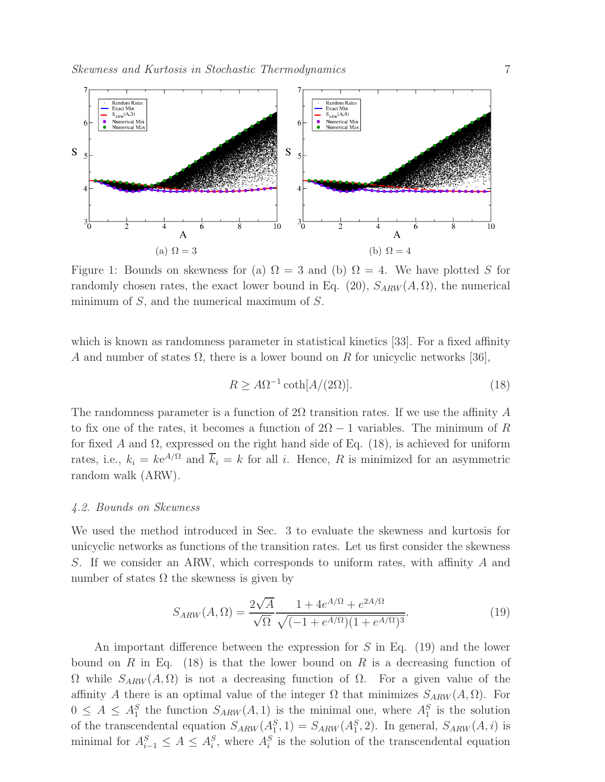

Figure 1: Bounds on skewness for (a)  $\Omega = 3$  and (b)  $\Omega = 4$ . We have plotted S for randomly chosen rates, the exact lower bound in Eq. (20),  $S_{ARW}(A, \Omega)$ , the numerical minimum of  $S$ , and the numerical maximum of  $S$ .

which is known as randomness parameter in statistical kinetics [33]. For a fixed affinity A and number of states  $\Omega$ , there is a lower bound on R for unicyclic networks [36],

$$
R \ge A\Omega^{-1} \coth[A/(2\Omega)].\tag{18}
$$

The randomness parameter is a function of 2 $\Omega$  transition rates. If we use the affinity A to fix one of the rates, it becomes a function of  $2\Omega - 1$  variables. The minimum of R for fixed A and  $\Omega$ , expressed on the right hand side of Eq. (18), is achieved for uniform rates, i.e.,  $k_i = ke^{A/\Omega}$  and  $\overline{k}_i = k$  for all i. Hence, R is minimized for an asymmetric random walk (ARW).

### 4.2. Bounds on Skewness

We used the method introduced in Sec. 3 to evaluate the skewness and kurtosis for unicyclic networks as functions of the transition rates. Let us first consider the skewness S. If we consider an ARW, which corresponds to uniform rates, with affinity A and number of states  $\Omega$  the skewness is given by

$$
S_{ARW}(A,\Omega) = \frac{2\sqrt{A}}{\sqrt{\Omega}} \frac{1 + 4e^{A/\Omega} + e^{2A/\Omega}}{\sqrt{(-1 + e^{A/\Omega})(1 + e^{A/\Omega})^3}}.
$$
(19)

An important difference between the expression for  $S$  in Eq. (19) and the lower bound on R in Eq. (18) is that the lower bound on R is a decreasing function of  $Ω$  while  $S_{ARW}(A, Ω)$  is not a decreasing function of  $Ω$ . For a given value of the affinity A there is an optimal value of the integer  $\Omega$  that minimizes  $S_{ARW}(A, \Omega)$ . For  $0 \leq A \leq A_1^S$  the function  $S_{ARW}(A, 1)$  is the minimal one, where  $A_1^S$  is the solution of the transcendental equation  $S_{ARW}(A_1^S, 1) = S_{ARW}(A_1^S, 2)$ . In general,  $S_{ARW}(A, i)$  is minimal for  $A_{i-1}^S \leq A \leq A_i^S$ , where  $A_i^S$  is the solution of the transcendental equation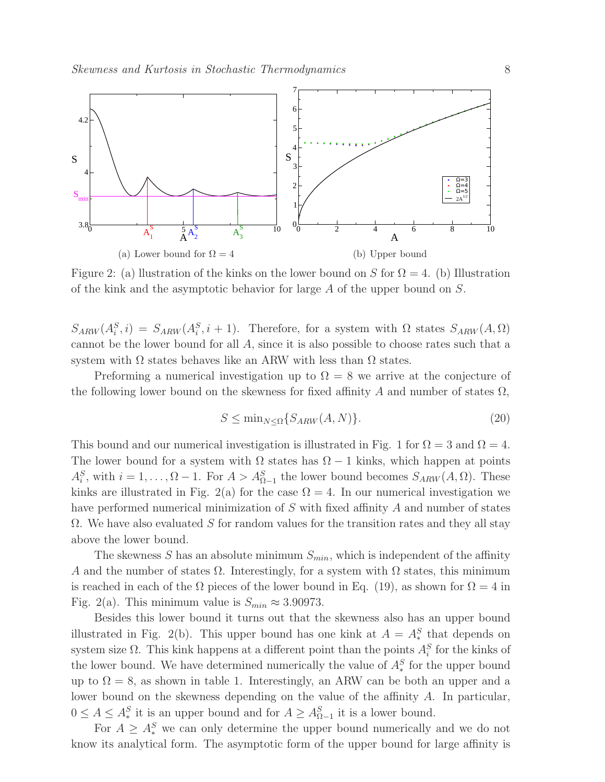

Figure 2: (a) llustration of the kinks on the lower bound on S for  $\Omega = 4$ . (b) Illustration of the kink and the asymptotic behavior for large  $A$  of the upper bound on  $S$ .

 $S_{ARW}(A_i^S, i) = S_{ARW}(A_i^S, i+1)$ . Therefore, for a system with  $\Omega$  states  $S_{ARW}(A, \Omega)$ cannot be the lower bound for all A, since it is also possible to choose rates such that a system with  $\Omega$  states behaves like an ARW with less than  $\Omega$  states.

Preforming a numerical investigation up to  $\Omega = 8$  we arrive at the conjecture of the following lower bound on the skewness for fixed affinity A and number of states  $\Omega$ ,

$$
S \le \min_{N \le \Omega} \{ S_{ARW}(A, N) \}. \tag{20}
$$

This bound and our numerical investigation is illustrated in Fig. 1 for  $\Omega = 3$  and  $\Omega = 4$ . The lower bound for a system with  $\Omega$  states has  $\Omega - 1$  kinks, which happen at points  $A_i^S$ , with  $i = 1, ..., \Omega - 1$ . For  $A > A_{\Omega-1}^S$  the lower bound becomes  $S_{ARW}(A, \Omega)$ . These kinks are illustrated in Fig. 2(a) for the case  $\Omega = 4$ . In our numerical investigation we have performed numerical minimization of S with fixed affinity A and number of states  $\Omega$ . We have also evaluated S for random values for the transition rates and they all stay above the lower bound.

The skewness S has an absolute minimum  $S_{min}$ , which is independent of the affinity A and the number of states  $\Omega$ . Interestingly, for a system with  $\Omega$  states, this minimum is reached in each of the  $\Omega$  pieces of the lower bound in Eq. (19), as shown for  $\Omega = 4$  in Fig. 2(a). This minimum value is  $S_{min} \approx 3.90973$ .

Besides this lower bound it turns out that the skewness also has an upper bound illustrated in Fig. 2(b). This upper bound has one kink at  $A = A_*^S$  that depends on system size  $\Omega$ . This kink happens at a different point than the points  $A_i^S$  for the kinks of the lower bound. We have determined numerically the value of  $A_*^S$  for the upper bound up to  $\Omega = 8$ , as shown in table 1. Interestingly, an ARW can be both an upper and a lower bound on the skewness depending on the value of the affinity A. In particular,  $0 \leq A \leq A_*^S$  it is an upper bound and for  $A \geq A_{\Omega-1}^S$  it is a lower bound.

For  $A \geq A_*^S$  we can only determine the upper bound numerically and we do not know its analytical form. The asymptotic form of the upper bound for large affinity is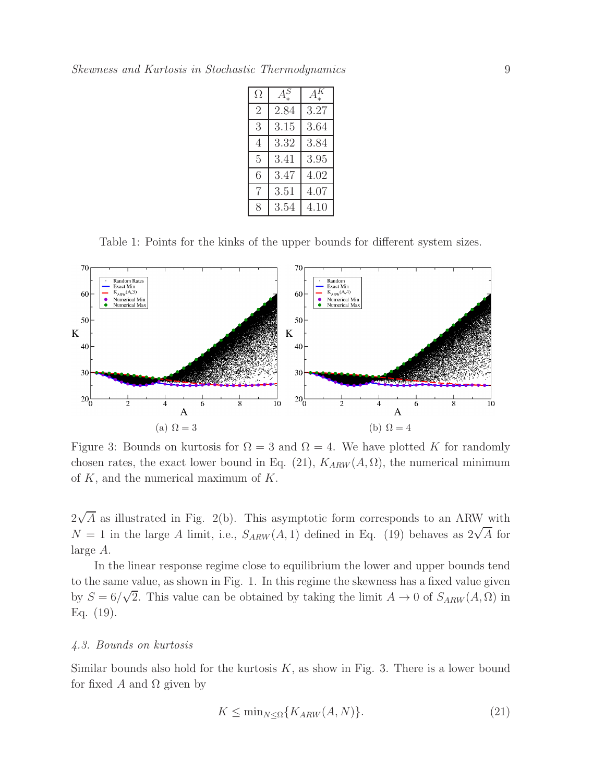| Ω              | S<br>А | $\bar{K}$ |
|----------------|--------|-----------|
| $\overline{2}$ | 2.84   | 3.27      |
| 3              | 3.15   | 3.64      |
| 4              | 3.32   | 3.84      |
| 5              | 3.41   | 3.95      |
| 6              | 3.47   | 4.02      |
| 7              | 3.51   | 4.07      |
| 8              | 3.54   | 4.10      |

Table 1: Points for the kinks of the upper bounds for different system sizes.



Figure 3: Bounds on kurtosis for  $\Omega = 3$  and  $\Omega = 4$ . We have plotted K for randomly chosen rates, the exact lower bound in Eq. (21),  $K_{ARW}(A, \Omega)$ , the numerical minimum of  $K$ , and the numerical maximum of  $K$ .

 $2\sqrt{A}$  as illustrated in Fig. 2(b). This asymptotic form corresponds to an ARW with  $N = 1$  in the large A limit, i.e.,  $S_{ARW}(A, 1)$  defined in Eq. (19) behaves as  $2\sqrt{A}$  for large A.

In the linear response regime close to equilibrium the lower and upper bounds tend to the same value, as shown in Fig. 1. In this regime the skewness has a fixed value given by  $S = 6/\sqrt{2}$ . This value can be obtained by taking the limit  $A \to 0$  of  $S_{ARW}(A, \Omega)$  in Eq. (19).

### 4.3. Bounds on kurtosis

Similar bounds also hold for the kurtosis  $K$ , as show in Fig. 3. There is a lower bound for fixed A and  $\Omega$  given by

$$
K \le \min_{N \le \Omega} \{ K_{ARW}(A, N) \}.
$$
\n(21)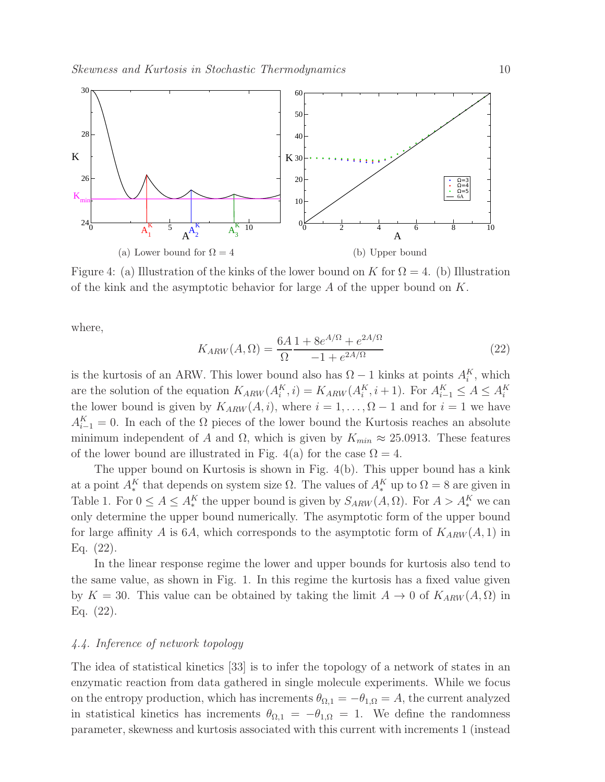

Figure 4: (a) Illustration of the kinks of the lower bound on K for  $\Omega = 4$ . (b) Illustration of the kink and the asymptotic behavior for large  $A$  of the upper bound on  $K$ .

where,

$$
K_{ARW}(A,\Omega) = \frac{6A}{\Omega} \frac{1 + 8e^{A/\Omega} + e^{2A/\Omega}}{-1 + e^{2A/\Omega}}
$$
(22)

is the kurtosis of an ARW. This lower bound also has  $\Omega - 1$  kinks at points  $A_i^K$ , which are the solution of the equation  $K_{ARW}(A_i^K, i) = K_{ARW}(A_i^K, i+1)$ . For  $A_{i-1}^K \leq A \leq A_i^K$ the lower bound is given by  $K_{ARW}(A, i)$ , where  $i = 1, \ldots, \Omega - 1$  and for  $i = 1$  we have  $A_{i-1}^K = 0$ . In each of the  $\Omega$  pieces of the lower bound the Kurtosis reaches an absolute minimum independent of A and  $\Omega$ , which is given by  $K_{min} \approx 25.0913$ . These features of the lower bound are illustrated in Fig. 4(a) for the case  $\Omega = 4$ .

The upper bound on Kurtosis is shown in Fig. 4(b). This upper bound has a kink at a point  $A_*^K$  that depends on system size  $\Omega$ . The values of  $A_*^K$  up to  $\Omega = 8$  are given in Table 1. For  $0 \leq A \leq A_*^K$  the upper bound is given by  $S_{ARW}(A, \Omega)$ . For  $A > A_*^K$  we can only determine the upper bound numerically. The asymptotic form of the upper bound for large affinity A is 6A, which corresponds to the asymptotic form of  $K_{ARW}(A, 1)$  in Eq. (22).

In the linear response regime the lower and upper bounds for kurtosis also tend to the same value, as shown in Fig. 1. In this regime the kurtosis has a fixed value given by  $K = 30$ . This value can be obtained by taking the limit  $A \to 0$  of  $K_{ARW}(A, \Omega)$  in Eq. (22).

# 4.4. Inference of network topology

The idea of statistical kinetics [33] is to infer the topology of a network of states in an enzymatic reaction from data gathered in single molecule experiments. While we focus on the entropy production, which has increments  $\theta_{\Omega,1} = -\theta_{1,\Omega} = A$ , the current analyzed in statistical kinetics has increments  $\theta_{\Omega,1} = -\theta_{1,\Omega} = 1$ . We define the randomness parameter, skewness and kurtosis associated with this current with increments 1 (instead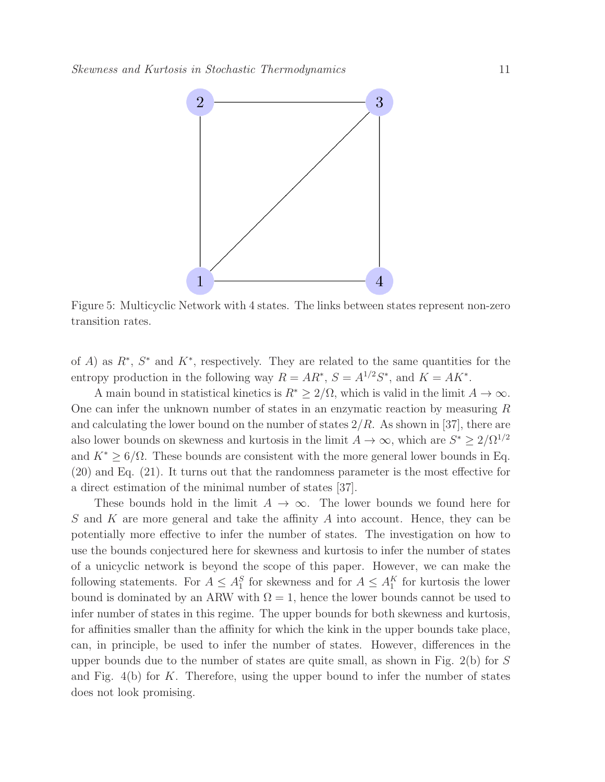

Figure 5: Multicyclic Network with 4 states. The links between states represent non-zero transition rates.

of A) as  $R^*, S^*$  and  $K^*$ , respectively. They are related to the same quantities for the entropy production in the following way  $R = AR^*$ ,  $S = A^{1/2}S^*$ , and  $K = AK^*$ .

A main bound in statistical kinetics is  $R^* \geq 2/\Omega$ , which is valid in the limit  $A \to \infty$ . One can infer the unknown number of states in an enzymatic reaction by measuring  $R$ and calculating the lower bound on the number of states  $2/R$ . As shown in [37], there are also lower bounds on skewness and kurtosis in the limit  $A \to \infty$ , which are  $S^* \geq 2/\Omega^{1/2}$ and  $K^* \geq 6/\Omega$ . These bounds are consistent with the more general lower bounds in Eq. (20) and Eq. (21). It turns out that the randomness parameter is the most effective for a direct estimation of the minimal number of states [37].

These bounds hold in the limit  $A \to \infty$ . The lower bounds we found here for S and K are more general and take the affinity A into account. Hence, they can be potentially more effective to infer the number of states. The investigation on how to use the bounds conjectured here for skewness and kurtosis to infer the number of states of a unicyclic network is beyond the scope of this paper. However, we can make the following statements. For  $A \leq A_1^S$  for skewness and for  $A \leq A_1^K$  for kurtosis the lower bound is dominated by an ARW with  $\Omega = 1$ , hence the lower bounds cannot be used to infer number of states in this regime. The upper bounds for both skewness and kurtosis, for affinities smaller than the affinity for which the kink in the upper bounds take place, can, in principle, be used to infer the number of states. However, differences in the upper bounds due to the number of states are quite small, as shown in Fig. 2(b) for S and Fig.  $4(b)$  for K. Therefore, using the upper bound to infer the number of states does not look promising.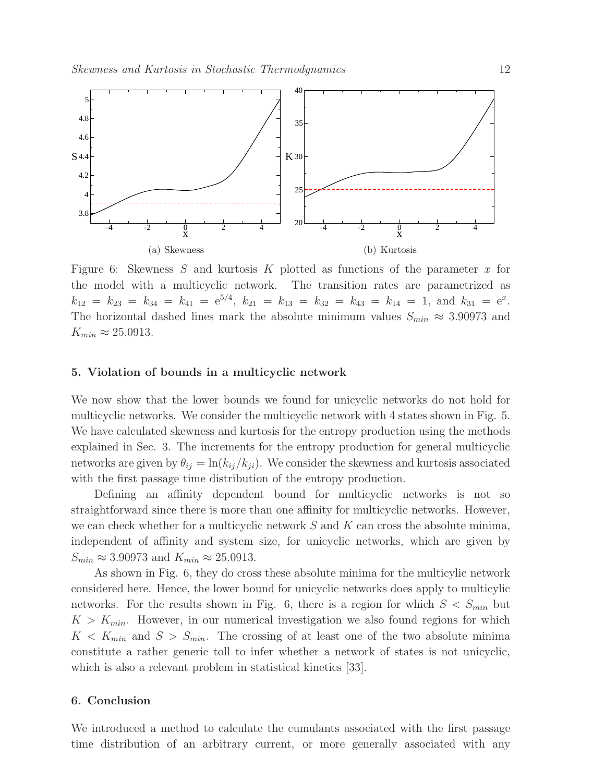

Figure 6: Skewness  $S$  and kurtosis  $K$  plotted as functions of the parameter  $x$  for the model with a multicyclic network. The transition rates are parametrized as  $k_{12} = k_{23} = k_{34} = k_{41} = e^{5/4}, k_{21} = k_{13} = k_{32} = k_{43} = k_{14} = 1, \text{ and } k_{31} = e^x.$ The horizontal dashed lines mark the absolute minimum values  $S_{min} \approx 3.90973$  and  $K_{min} \approx 25.0913$ .

### 5. Violation of bounds in a multicyclic network

We now show that the lower bounds we found for unicyclic networks do not hold for multicyclic networks. We consider the multicyclic network with 4 states shown in Fig. 5. We have calculated skewness and kurtosis for the entropy production using the methods explained in Sec. 3. The increments for the entropy production for general multicyclic networks are given by  $\theta_{ij} = \ln(k_{ij}/k_{ji})$ . We consider the skewness and kurtosis associated with the first passage time distribution of the entropy production.

Defining an affinity dependent bound for multicyclic networks is not so straightforward since there is more than one affinity for multicyclic networks. However, we can check whether for a multicyclic network  $S$  and  $K$  can cross the absolute minima, independent of affinity and system size, for unicyclic networks, which are given by  $S_{min} \approx 3.90973$  and  $K_{min} \approx 25.0913$ .

As shown in Fig. 6, they do cross these absolute minima for the multicylic network considered here. Hence, the lower bound for unicyclic networks does apply to multicylic networks. For the results shown in Fig. 6, there is a region for which  $S < S_{min}$  but  $K > K_{min}$ . However, in our numerical investigation we also found regions for which  $K < K_{min}$  and  $S > S_{min}$ . The crossing of at least one of the two absolute minima constitute a rather generic toll to infer whether a network of states is not unicyclic, which is also a relevant problem in statistical kinetics [33].

# 6. Conclusion

We introduced a method to calculate the cumulants associated with the first passage time distribution of an arbitrary current, or more generally associated with any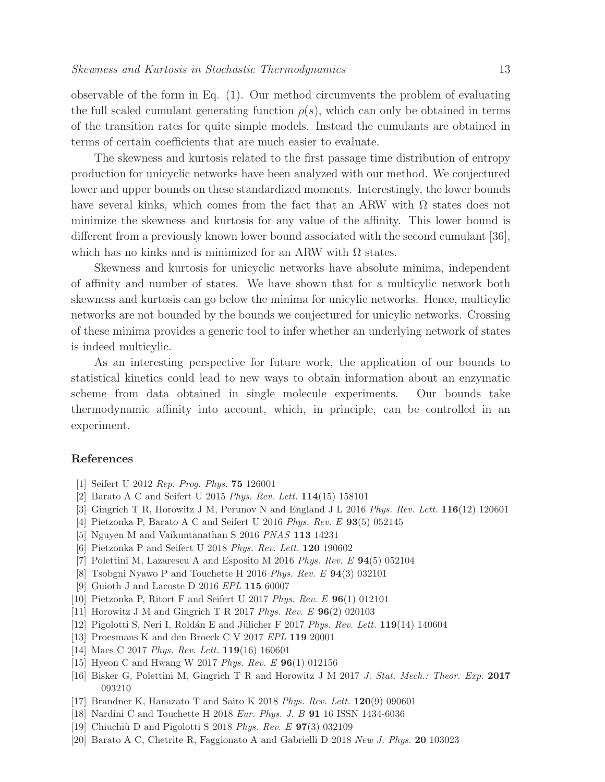observable of the form in Eq. (1). Our method circumvents the problem of evaluating the full scaled cumulant generating function  $\rho(s)$ , which can only be obtained in terms of the transition rates for quite simple models. Instead the cumulants are obtained in terms of certain coefficients that are much easier to evaluate.

The skewness and kurtosis related to the first passage time distribution of entropy production for unicyclic networks have been analyzed with our method. We conjectured lower and upper bounds on these standardized moments. Interestingly, the lower bounds have several kinks, which comes from the fact that an ARW with  $\Omega$  states does not minimize the skewness and kurtosis for any value of the affinity. This lower bound is different from a previously known lower bound associated with the second cumulant [36], which has no kinks and is minimized for an ARW with  $\Omega$  states.

Skewness and kurtosis for unicyclic networks have absolute minima, independent of affinity and number of states. We have shown that for a multicylic network both skewness and kurtosis can go below the minima for unicylic networks. Hence, multicylic networks are not bounded by the bounds we conjectured for unicylic networks. Crossing of these minima provides a generic tool to infer whether an underlying network of states is indeed multicylic.

As an interesting perspective for future work, the application of our bounds to statistical kinetics could lead to new ways to obtain information about an enzymatic scheme from data obtained in single molecule experiments. Our bounds take thermodynamic affinity into account, which, in principle, can be controlled in an experiment.

# References

- [1] Seifert U 2012 *Rep. Prog. Phys.* 75 126001
- [2] Barato A C and Seifert U 2015 *Phys. Rev. Lett.* 114(15) 158101
- [3] Gingrich T R, Horowitz J M, Perunov N and England J L 2016 *Phys. Rev. Lett.* 116(12) 120601
- [4] Pietzonka P, Barato A C and Seifert U 2016 *Phys. Rev. E* 93(5) 052145
- [5] Nguyen M and Vaikuntanathan S 2016 *PNAS* 113 14231
- [6] Pietzonka P and Seifert U 2018 *Phys. Rev. Lett.* 120 190602
- [7] Polettini M, Lazarescu A and Esposito M 2016 *Phys. Rev. E* 94(5) 052104
- [8] Tsobgni Nyawo P and Touchette H 2016 *Phys. Rev. E* 94(3) 032101
- [9] Guioth J and Lacoste D 2016 *EPL* 115 60007
- [10] Pietzonka P, Ritort F and Seifert U 2017 *Phys. Rev. E* 96(1) 012101
- [11] Horowitz J M and Gingrich T R 2017 *Phys. Rev. E* 96(2) 020103
- [12] Pigolotti S, Neri I, Roldán E and Jülicher F 2017 *Phys. Rev. Lett.* **119**(14) 140604
- [13] Proesmans K and den Broeck C V 2017 *EPL* 119 20001
- [14] Maes C 2017 *Phys. Rev. Lett.* 119(16) 160601
- [15] Hyeon C and Hwang W 2017 *Phys. Rev. E* 96(1) 012156
- [16] Bisker G, Polettini M, Gingrich T R and Horowitz J M 2017 *J. Stat. Mech.: Theor. Exp.* 2017 093210
- [17] Brandner K, Hanazato T and Saito K 2018 *Phys. Rev. Lett.* 120(9) 090601
- [18] Nardini C and Touchette H 2018 *Eur. Phys. J. B* 91 16 ISSN 1434-6036
- [19] Chiuchi`u D and Pigolotti S 2018 *Phys. Rev. E* 97(3) 032109
- [20] Barato A C, Chetrite R, Faggionato A and Gabrielli D 2018 *New J. Phys.* 20 103023